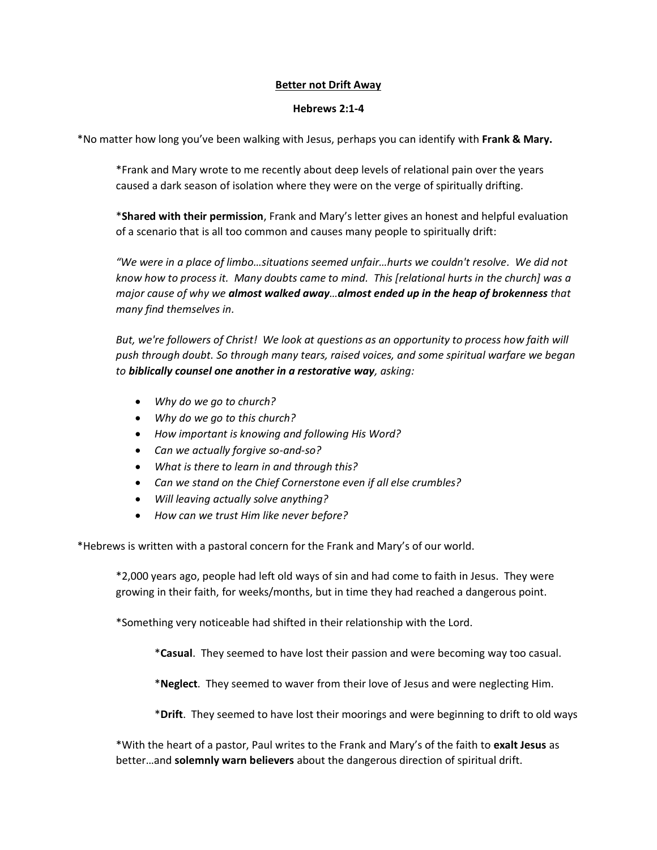# **Better not Drift Away**

# **Hebrews 2:1-4**

\*No matter how long you've been walking with Jesus, perhaps you can identify with **Frank & Mary.**

\*Frank and Mary wrote to me recently about deep levels of relational pain over the years caused a dark season of isolation where they were on the verge of spiritually drifting.

\***Shared with their permission**, Frank and Mary's letter gives an honest and helpful evaluation of a scenario that is all too common and causes many people to spiritually drift:

*"We were in a place of limbo…situations seemed unfair…hurts we couldn't resolve. We did not know how to process it. Many doubts came to mind. This [relational hurts in the church] was a major cause of why we almost walked away…almost ended up in the heap of brokenness that many find themselves in.*

*But, we're followers of Christ! We look at questions as an opportunity to process how faith will push through doubt. So through many tears, raised voices, and some spiritual warfare we began to biblically counsel one another in a restorative way, asking:* 

- *Why do we go to church?*
- *Why do we go to this church?*
- *How important is knowing and following His Word?*
- *Can we actually forgive so-and-so?*
- *What is there to learn in and through this?*
- *Can we stand on the Chief Cornerstone even if all else crumbles?*
- *Will leaving actually solve anything?*
- *How can we trust Him like never before?*

\*Hebrews is written with a pastoral concern for the Frank and Mary's of our world.

\*2,000 years ago, people had left old ways of sin and had come to faith in Jesus. They were growing in their faith, for weeks/months, but in time they had reached a dangerous point.

\*Something very noticeable had shifted in their relationship with the Lord.

\***Casual**. They seemed to have lost their passion and were becoming way too casual.

\***Neglect**. They seemed to waver from their love of Jesus and were neglecting Him.

\***Drift**. They seemed to have lost their moorings and were beginning to drift to old ways

\*With the heart of a pastor, Paul writes to the Frank and Mary's of the faith to **exalt Jesus** as better…and **solemnly warn believers** about the dangerous direction of spiritual drift.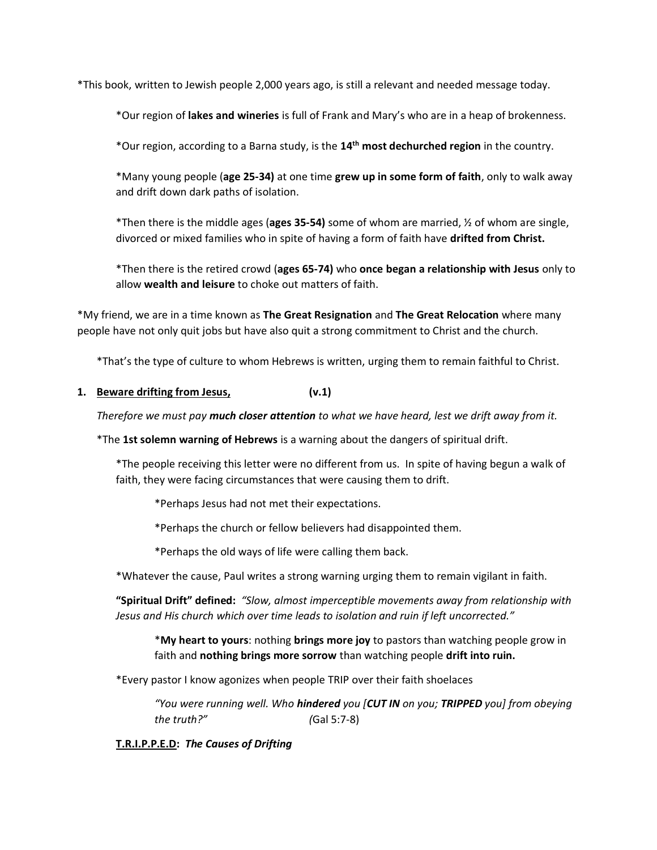\*This book, written to Jewish people 2,000 years ago, is still a relevant and needed message today.

\*Our region of **lakes and wineries** is full of Frank and Mary's who are in a heap of brokenness.

\*Our region, according to a Barna study, is the **14th most dechurched region** in the country.

\*Many young people (**age 25-34)** at one time **grew up in some form of faith**, only to walk away and drift down dark paths of isolation.

\*Then there is the middle ages (**ages 35-54)** some of whom are married, ½ of whom are single, divorced or mixed families who in spite of having a form of faith have **drifted from Christ.**

\*Then there is the retired crowd (**ages 65-74)** who **once began a relationship with Jesus** only to allow **wealth and leisure** to choke out matters of faith.

\*My friend, we are in a time known as **The Great Resignation** and **The Great Relocation** where many people have not only quit jobs but have also quit a strong commitment to Christ and the church.

\*That's the type of culture to whom Hebrews is written, urging them to remain faithful to Christ.

**1. Beware drifting from Jesus, (v.1)**

*Therefore we must pay much closer attention to what we have heard, lest we drift away from it.*

\*The **1st solemn warning of Hebrews** is a warning about the dangers of spiritual drift.

\*The people receiving this letter were no different from us. In spite of having begun a walk of faith, they were facing circumstances that were causing them to drift.

\*Perhaps Jesus had not met their expectations.

\*Perhaps the church or fellow believers had disappointed them.

\*Perhaps the old ways of life were calling them back.

\*Whatever the cause, Paul writes a strong warning urging them to remain vigilant in faith.

**"Spiritual Drift" defined:** *"Slow, almost imperceptible movements away from relationship with Jesus and His church which over time leads to isolation and ruin if left uncorrected."*

\***My heart to yours**: nothing **brings more joy** to pastors than watching people grow in faith and **nothing brings more sorrow** than watching people **drift into ruin.**

\*Every pastor I know agonizes when people TRIP over their faith shoelaces

*"You were running well. Who hindered you [CUT IN on you; TRIPPED you] from obeying the truth?" (*Gal 5:7-8)

**T.R.I.P.P.E.D:** *The Causes of Drifting*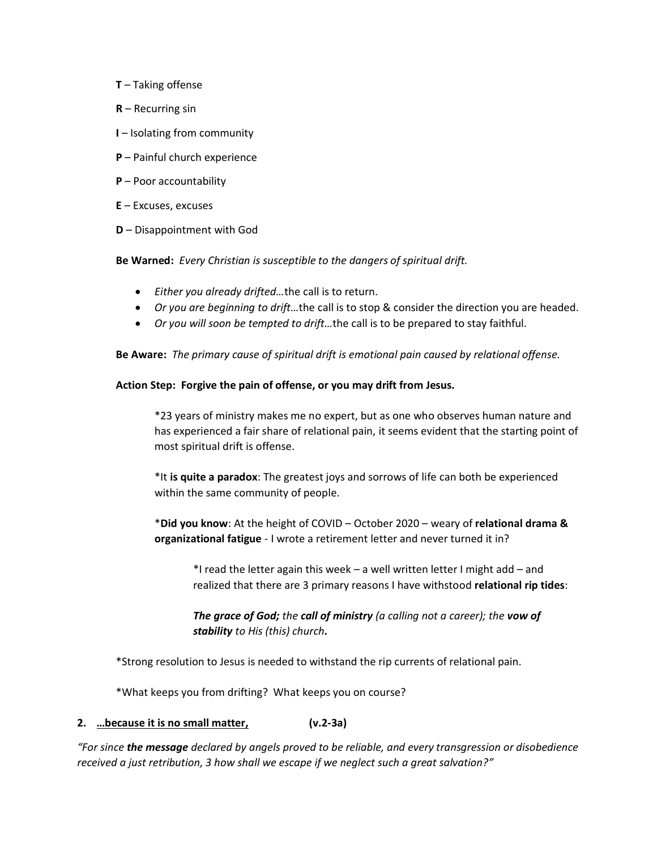- **T** Taking offense
- **R** Recurring sin
- **I** Isolating from community
- **P** Painful church experience
- **P** Poor accountability
- **E** Excuses, excuses
- **D** Disappointment with God

**Be Warned:** *Every Christian is susceptible to the dangers of spiritual drift.*

- *Either you already drifted…*the call is to return.
- *Or you are beginning to drift…*the call is to stop & consider the direction you are headed.
- *Or you will soon be tempted to drift…*the call is to be prepared to stay faithful.

**Be Aware:** *The primary cause of spiritual drift is emotional pain caused by relational offense.*

### **Action Step: Forgive the pain of offense, or you may drift from Jesus.**

\*23 years of ministry makes me no expert, but as one who observes human nature and has experienced a fair share of relational pain, it seems evident that the starting point of most spiritual drift is offense.

\*It **is quite a paradox**: The greatest joys and sorrows of life can both be experienced within the same community of people.

\***Did you know**: At the height of COVID – October 2020 – weary of **relational drama & organizational fatigue** - I wrote a retirement letter and never turned it in?

\*I read the letter again this week – a well written letter I might add – and realized that there are 3 primary reasons I have withstood **relational rip tides**:

*The grace of God; the call of ministry (a calling not a career); the vow of stability to His (this) church.*

\*Strong resolution to Jesus is needed to withstand the rip currents of relational pain.

\*What keeps you from drifting? What keeps you on course?

# **2. …because it is no small matter, (v.2-3a)**

*"For since the message declared by angels proved to be reliable, and every transgression or disobedience received a just retribution, 3 how shall we escape if we neglect such a great salvation?"*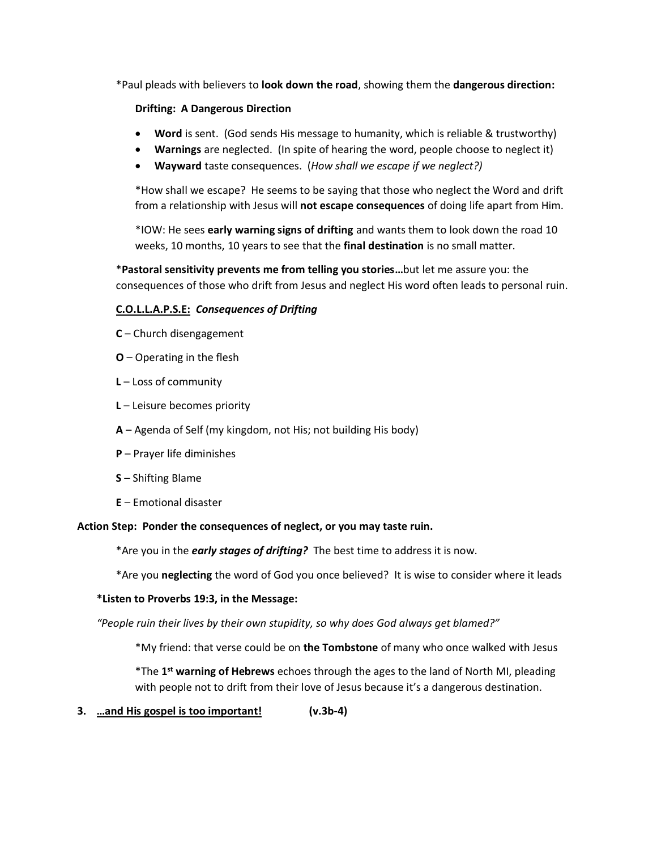\*Paul pleads with believers to **look down the road**, showing them the **dangerous direction:**

## **Drifting: A Dangerous Direction**

- **Word** is sent. (God sends His message to humanity, which is reliable & trustworthy)
- **Warnings** are neglected. (In spite of hearing the word, people choose to neglect it)
- **Wayward** taste consequences. (*How shall we escape if we neglect?)*

\*How shall we escape? He seems to be saying that those who neglect the Word and drift from a relationship with Jesus will **not escape consequences** of doing life apart from Him.

\*IOW: He sees **early warning signs of drifting** and wants them to look down the road 10 weeks, 10 months, 10 years to see that the **final destination** is no small matter.

\***Pastoral sensitivity prevents me from telling you stories…**but let me assure you: the consequences of those who drift from Jesus and neglect His word often leads to personal ruin.

# **C.O.L.L.A.P.S.E:** *Consequences of Drifting*

- **C** Church disengagement
- **O** Operating in the flesh
- **L** Loss of community
- **L** Leisure becomes priority
- **A** Agenda of Self (my kingdom, not His; not building His body)
- **P** Prayer life diminishes
- **S** Shifting Blame
- **E** Emotional disaster

#### **Action Step: Ponder the consequences of neglect, or you may taste ruin.**

\*Are you in the *early stages of drifting?* The best time to address it is now.

\*Are you **neglecting** the word of God you once believed? It is wise to consider where it leads

#### **\*Listen to Proverbs 19:3, in the Message:**

*"People ruin their lives by their own stupidity, so why does God always get blamed?"*

\*My friend: that verse could be on **the Tombstone** of many who once walked with Jesus

\*The 1<sup>st</sup> warning of Hebrews echoes through the ages to the land of North MI, pleading with people not to drift from their love of Jesus because it's a dangerous destination.

**3. …and His gospel is too important! (v.3b-4)**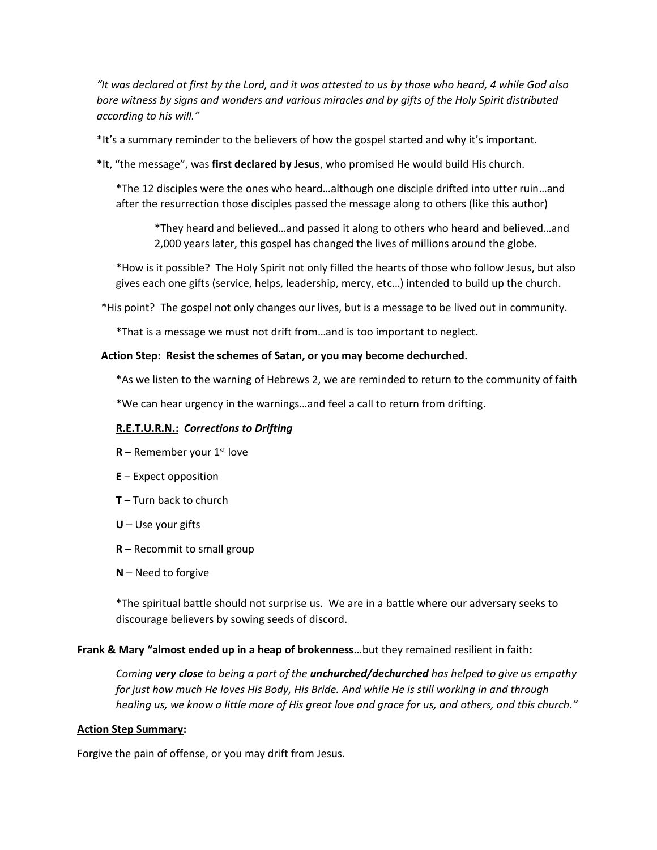*"It was declared at first by the Lord, and it was attested to us by those who heard, 4 while God also bore witness by signs and wonders and various miracles and by gifts of the Holy Spirit distributed according to his will."*

\*It's a summary reminder to the believers of how the gospel started and why it's important.

\*It, "the message", was **first declared by Jesus**, who promised He would build His church.

\*The 12 disciples were the ones who heard…although one disciple drifted into utter ruin…and after the resurrection those disciples passed the message along to others (like this author)

\*They heard and believed…and passed it along to others who heard and believed…and 2,000 years later, this gospel has changed the lives of millions around the globe.

\*How is it possible? The Holy Spirit not only filled the hearts of those who follow Jesus, but also gives each one gifts (service, helps, leadership, mercy, etc…) intended to build up the church.

\*His point? The gospel not only changes our lives, but is a message to be lived out in community.

\*That is a message we must not drift from…and is too important to neglect.

#### **Action Step: Resist the schemes of Satan, or you may become dechurched.**

\*As we listen to the warning of Hebrews 2, we are reminded to return to the community of faith

\*We can hear urgency in the warnings…and feel a call to return from drifting.

## **R.E.T.U.R.N.:** *Corrections to Drifting*

- $R$  Remember your 1<sup>st</sup> love
- **E** Expect opposition
- **T** Turn back to church
- **U** Use your gifts
- **R** Recommit to small group
- **N** Need to forgive

\*The spiritual battle should not surprise us. We are in a battle where our adversary seeks to discourage believers by sowing seeds of discord.

#### **Frank & Mary "almost ended up in a heap of brokenness…**but they remained resilient in faith**:**

*Coming very close to being a part of the unchurched/dechurched has helped to give us empathy for just how much He loves His Body, His Bride. And while He is still working in and through healing us, we know a little more of His great love and grace for us, and others, and this church."*

#### **Action Step Summary:**

Forgive the pain of offense, or you may drift from Jesus.